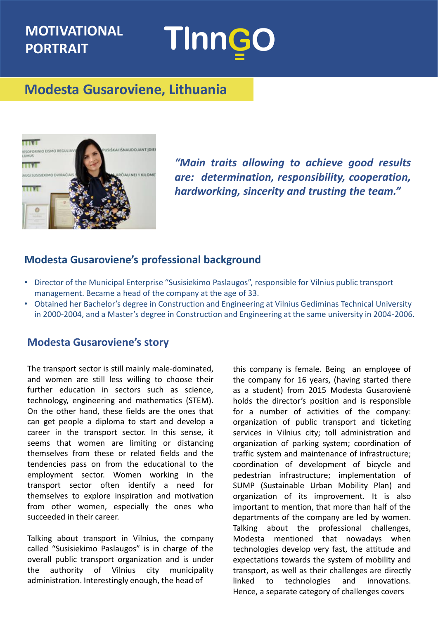# **MOTIVATIONAL PORTRAIT**



## **Modesta Gusaroviene, Lithuania**



*"Main traits allowing to achieve good results are: determination, responsibility, cooperation, hardworking, sincerity and trusting the team."*

#### **Modesta Gusaroviene's professional background**

- Director of the Municipal Enterprise "Susisiekimo Paslaugos", responsible for Vilnius public transport management. Became a head of the company at the age of 33.
- Obtained her Bachelor's degree in Construction and Engineering at Vilnius Gediminas Technical University in 2000-2004, and a Master's degree in Construction and Engineering at the same university in 2004-2006.

#### **Modesta Gusaroviene's story**

The transport sector is still mainly male-dominated, and women are still less willing to choose their further education in sectors such as science, technology, engineering and mathematics (STEM). On the other hand, these fields are the ones that can get people a diploma to start and develop a career in the transport sector. In this sense, it seems that women are limiting or distancing themselves from these or related fields and the tendencies pass on from the educational to the employment sector. Women working in the transport sector often identify a need for themselves to explore inspiration and motivation from other women, especially the ones who succeeded in their career.

Talking about transport in Vilnius, the company called "Susisiekimo Paslaugos" is in charge of the overall public transport organization and is under the authority of Vilnius city municipality administration. Interestingly enough, the head of

this company is female. Being an employee of the company for 16 years, (having started there as a student) from 2015 Modesta Gusarovienė holds the director's position and is responsible for a number of activities of the company: organization of public transport and ticketing services in Vilnius city; toll administration and organization of parking system; coordination of traffic system and maintenance of infrastructure; coordination of development of bicycle and pedestrian infrastructure; implementation of SUMP (Sustainable Urban Mobility Plan) and organization of its improvement. It is also important to mention, that more than half of the departments of the company are led by women. Talking about the professional challenges, Modesta mentioned that nowadays when technologies develop very fast, the attitude and expectations towards the system of mobility and transport, as well as their challenges are directly linked to technologies and innovations. Hence, a separate category of challenges covers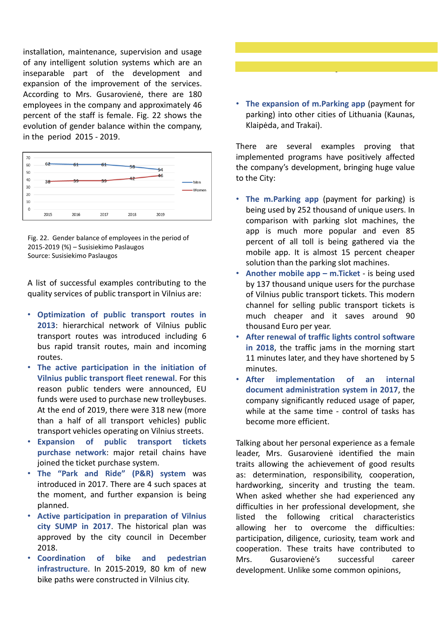installation, maintenance, supervision and usage of any intelligent solution systems which are an inseparable part of the development and expansion of the improvement of the services. According to Mrs. Gusarovienė, there are 180 employees in the company and approximately 46 percent of the staff is female. Fig. 22 shows the evolution of gender balance within the company, in the period 2015 - 2019.



Fig. 22. Gender balance of employees in the period of 2015-2019 (%) – Susisiekimo Paslaugos Source: Susisiekimo Paslaugos

A list of successful examples contributing to the quality services of public transport in Vilnius are:

- **Optimization of public transport routes in 2013**: hierarchical network of Vilnius public transport routes was introduced including 6 bus rapid transit routes, main and incoming routes.
- **The active participation in the initiation of Vilnius public transport fleet renewal**. For this reason public tenders were announced, EU funds were used to purchase new trolleybuses. At the end of 2019, there were 318 new (more than a half of all transport vehicles) public transport vehicles operating on Vilnius streets.
- **Expansion of public transport tickets purchase network**: major retail chains have joined the ticket purchase system.
- **The "Park and Ride" (P&R) system** was introduced in 2017. There are 4 such spaces at the moment, and further expansion is being planned.
- **Active participation in preparation of Vilnius city SUMP in 2017**. The historical plan was approved by the city council in December 2018.
- **Coordination of bike and pedestrian infrastructure**. In 2015-2019, 80 km of new bike paths were constructed in Vilnius city.



• **The expansion of m.Parking app** (payment for parking) into other cities of Lithuania (Kaunas, Klaipėda, and Trakai).

There are several examples proving that implemented programs have positively affected the company's development, bringing huge value to the City:

- **The m.Parking app** (payment for parking) is being used by 252 thousand of unique users. In comparison with parking slot machines, the app is much more popular and even 85 percent of all toll is being gathered via the mobile app. It is almost 15 percent cheaper solution than the parking slot machines.
- **Another mobile app – m.Ticket** is being used by 137 thousand unique users for the purchase of Vilnius public transport tickets. This modern channel for selling public transport tickets is much cheaper and it saves around 90 thousand Euro per year.
- **After renewal of traffic lights control software in 2018**, the traffic jams in the morning start 11 minutes later, and they have shortened by 5 minutes.
- **After implementation of an internal document administration system in 2017**, the company significantly reduced usage of paper, while at the same time - control of tasks has become more efficient.

Talking about her personal experience as a female leader, Mrs. Gusarovienė identified the main traits allowing the achievement of good results as: determination, responsibility, cooperation, hardworking, sincerity and trusting the team. When asked whether she had experienced any difficulties in her professional development, she listed the following critical characteristics allowing her to overcome the difficulties: participation, diligence, curiosity, team work and cooperation. These traits have contributed to Mrs. Gusarovienė's successful career development. Unlike some common opinions,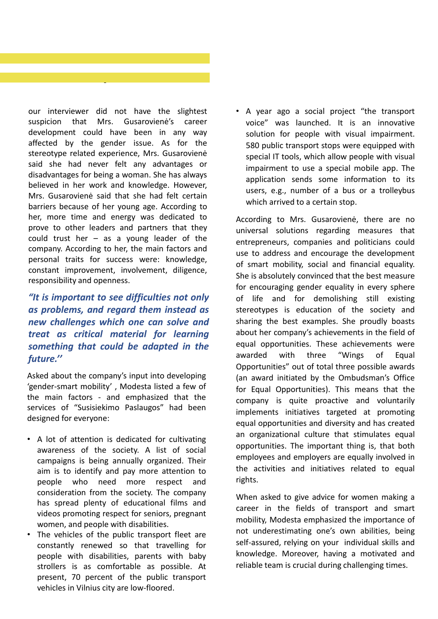our interviewer did not have the slightest suspicion that Mrs. Gusarovienė's career development could have been in any way affected by the gender issue. As for the stereotype related experience, Mrs. Gusarovienė said she had never felt any advantages or disadvantages for being a woman. She has always believed in her work and knowledge. However, Mrs. Gusarovienė said that she had felt certain barriers because of her young age. According to her, more time and energy was dedicated to prove to other leaders and partners that they could trust her – as a young leader of the company. According to her, the main factors and personal traits for success were: knowledge, constant improvement, involvement, diligence, responsibility and openness.

### *"It is important to see difficulties not only as problems, and regard them instead as new challenges which one can solve and treat as critical material for learning something that could be adapted in the future.''*

Asked about the company's input into developing 'gender-smart mobility' , Modesta listed a few of the main factors - and emphasized that the services of "Susisiekimo Paslaugos" had been designed for everyone:

- A lot of attention is dedicated for cultivating awareness of the society. A list of social campaigns is being annually organized. Their aim is to identify and pay more attention to people who need more respect and consideration from the society. The company has spread plenty of educational films and videos promoting respect for seniors, pregnant women, and people with disabilities.
- The vehicles of the public transport fleet are constantly renewed so that travelling for people with disabilities, parents with baby strollers is as comfortable as possible. At present, 70 percent of the public transport vehicles in Vilnius city are low-floored.

• A year ago a social project "the transport voice" was launched. It is an innovative solution for people with visual impairment. 580 public transport stops were equipped with special IT tools, which allow people with visual impairment to use a special mobile app. The application sends some information to its users, e.g., number of a bus or a trolleybus which arrived to a certain stop.

According to Mrs. Gusarovienė, there are no universal solutions regarding measures that entrepreneurs, companies and politicians could use to address and encourage the development of smart mobility, social and financial equality. She is absolutely convinced that the best measure for encouraging gender equality in every sphere of life and for demolishing still existing stereotypes is education of the society and sharing the best examples. She proudly boasts about her company's achievements in the field of equal opportunities. These achievements were awarded with three "Wings of Equal Opportunities" out of total three possible awards (an award initiated by the Ombudsman's Office for Equal Opportunities). This means that the company is quite proactive and voluntarily implements initiatives targeted at promoting equal opportunities and diversity and has created an organizational culture that stimulates equal opportunities. The important thing is, that both employees and employers are equally involved in the activities and initiatives related to equal rights.

When asked to give advice for women making a career in the fields of transport and smart mobility, Modesta emphasized the importance of not underestimating one's own abilities, being self-assured, relying on your individual skills and knowledge. Moreover, having a motivated and reliable team is crucial during challenging times.